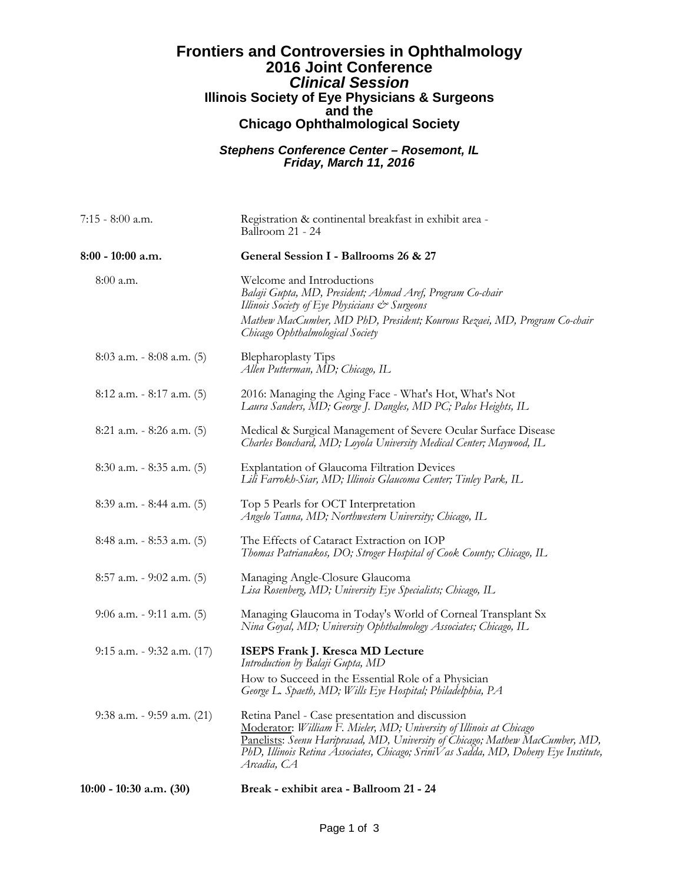## **Frontiers and Controversies in Ophthalmology 2016 Joint Conference** *Clinical Session* **Illinois Society of Eye Physicians & Surgeons and the Chicago Ophthalmological Society**

## *Stephens Conference Center – Rosemont, IL Friday, March 11, 2016*

| 7:15 - 8:00 a.m.               | Registration & continental breakfast in exhibit area -<br>Ballroom 21 - 24                                                                                                                                                                                                                                    |
|--------------------------------|---------------------------------------------------------------------------------------------------------------------------------------------------------------------------------------------------------------------------------------------------------------------------------------------------------------|
| 8:00 - 10:00 a.m.              | General Session I - Ballrooms 26 & 27                                                                                                                                                                                                                                                                         |
| $8:00$ a.m.                    | Welcome and Introductions<br>Balaji Gupta, MD, President; Ahmad Aref, Program Co-chair<br>Illinois Society of Eye Physicians & Surgeons<br>Mathew MacCumber, MD PhD, President; Kourous Rezaei, MD, Program Co-chair<br>Chicago Ophthalmological Society                                                      |
| $8:03$ a.m. $-8:08$ a.m. (5)   | <b>Blepharoplasty Tips</b><br>Allen Putterman, MD; Chicago, IL                                                                                                                                                                                                                                                |
| $8:12$ a.m. $-8:17$ a.m. (5)   | 2016: Managing the Aging Face - What's Hot, What's Not<br>Laura Sanders, MD; George J. Dangles, MD PC; Palos Heights, IL                                                                                                                                                                                      |
| $8:21$ a.m. $-8:26$ a.m. $(5)$ | Medical & Surgical Management of Severe Ocular Surface Disease<br>Charles Bouchard, MD; Loyola University Medical Center; Maywood, IL                                                                                                                                                                         |
| 8:30 a.m. - 8:35 a.m. (5)      | Explantation of Glaucoma Filtration Devices<br>Lili Farrokh-Siar, MD; Illinois Glaucoma Center; Tinley Park, IL                                                                                                                                                                                               |
| 8:39 a.m. - 8:44 a.m. (5)      | Top 5 Pearls for OCT Interpretation<br>Angelo Tanna, MD; Northwestern University; Chicago, IL                                                                                                                                                                                                                 |
| $8:48$ a.m. $-8:53$ a.m. $(5)$ | The Effects of Cataract Extraction on IOP<br>Thomas Patrianakos, DO; Stroger Hospital of Cook County; Chicago, IL                                                                                                                                                                                             |
| $8:57$ a.m. - 9:02 a.m. $(5)$  | Managing Angle-Closure Glaucoma<br>Lisa Rosenberg, MD; University Eye Specialists; Chicago, IL                                                                                                                                                                                                                |
| $9:06$ a.m. $-9:11$ a.m. (5)   | Managing Glaucoma in Today's World of Corneal Transplant Sx<br>Nina Goyal, MD; University Ophthalmology Associates; Chicago, IL                                                                                                                                                                               |
| 9:15 a.m. - 9:32 a.m. (17)     | <b>ISEPS Frank J. Kresca MD Lecture</b><br>Introduction by Balaji Gupta, MD                                                                                                                                                                                                                                   |
|                                | How to Succeed in the Essential Role of a Physician<br>George L. Spaeth, MD; Wills Eye Hospital; Philadelphia, PA                                                                                                                                                                                             |
| 9:38 a.m. - 9:59 a.m. (21)     | Retina Panel - Case presentation and discussion<br>Moderator: William F. Mieler, MD; University of Illinois at Chicago<br>Panelists: Seenu Hariprasad, MD, University of Chicago; Mathew MacCumber, MD,<br>PhD, Illinois Retina Associates, Chicago; SriniVas Sadda, MD, Doheny Eye Institute,<br>Arcadia, CA |
| $10:00 - 10:30$ a.m. $(30)$    | Break - exhibit area - Ballroom 21 - 24                                                                                                                                                                                                                                                                       |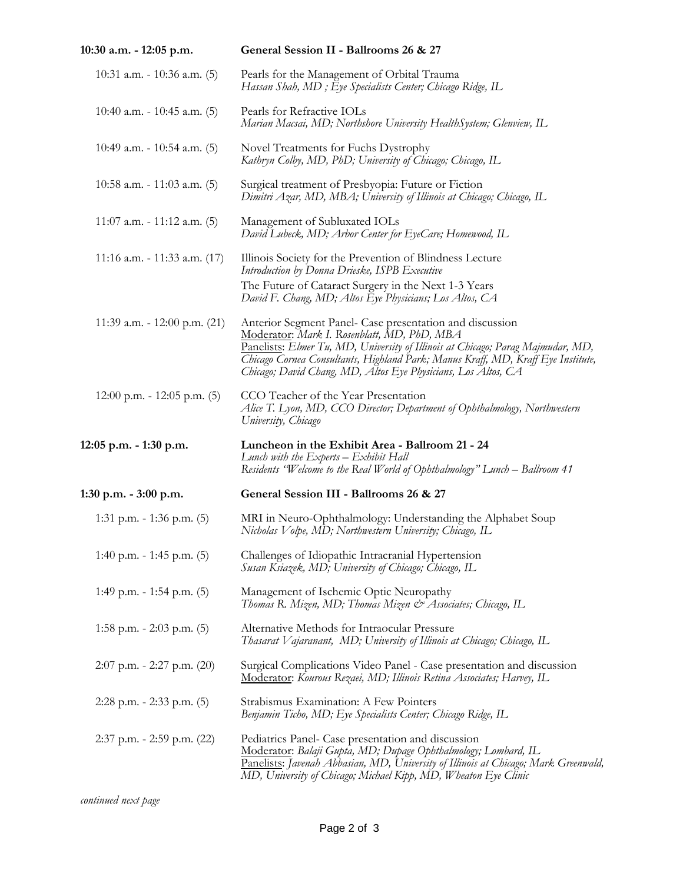| 10:30 a.m. - 12:05 p.m.         | General Session II - Ballrooms 26 & 27                                                                                                                                                                                                                                                                                                          |
|---------------------------------|-------------------------------------------------------------------------------------------------------------------------------------------------------------------------------------------------------------------------------------------------------------------------------------------------------------------------------------------------|
| 10:31 a.m. $-10:36$ a.m. (5)    | Pearls for the Management of Orbital Trauma<br>Hassan Shah, MD ; Eye Specialists Center; Chicago Ridge, IL                                                                                                                                                                                                                                      |
| 10:40 a.m. $-10:45$ a.m. (5)    | Pearls for Refractive IOLs<br>Marian Macsai, MD; Northshore University HealthSystem; Glenview, IL                                                                                                                                                                                                                                               |
| 10:49 a.m. - 10:54 a.m. $(5)$   | Novel Treatments for Fuchs Dystrophy<br>Kathryn Colby, MD, PhD; University of Chicago; Chicago, IL                                                                                                                                                                                                                                              |
| 10:58 a.m. - 11:03 a.m. $(5)$   | Surgical treatment of Presbyopia: Future or Fiction<br>Dimitri Azar, MD, MBA; University of Illinois at Chicago; Chicago, IL                                                                                                                                                                                                                    |
| $11:07$ a.m. $-11:12$ a.m. (5)  | Management of Subluxated IOLs<br>David Lubeck, MD; Arbor Center for EyeCare; Homewood, IL                                                                                                                                                                                                                                                       |
| 11:16 a.m. - 11:33 a.m. $(17)$  | Illinois Society for the Prevention of Blindness Lecture<br>Introduction by Donna Drieske, ISPB Executive                                                                                                                                                                                                                                       |
|                                 | The Future of Cataract Surgery in the Next 1-3 Years<br>David F. Chang, MD; Altos Eye Physicians; Los Altos, CA                                                                                                                                                                                                                                 |
| 11:39 a.m. - 12:00 p.m. $(21)$  | Anterior Segment Panel- Case presentation and discussion<br>Moderator: Mark I. Rosenblatt, MD, PhD, MBA<br>Panelists: Elmer Tu, MD, University of Illinois at Chicago; Parag Majmudar, MD,<br>Chicago Cornea Consultants, Highland Park; Manus Kraff, MD, Kraff Eye Institute,<br>Chicago, David Chang, MD, Altos Eye Physicians, Los Altos, CA |
| $12:00$ p.m. - 12:05 p.m. (5)   | CCO Teacher of the Year Presentation<br>Alice T. Lyon, MD, CCO Director; Department of Ophthalmology, Northwestern<br>University, Chicago                                                                                                                                                                                                       |
| 12:05 p.m. - 1:30 p.m.          | Luncheon in the Exhibit Area - Ballroom 21 - 24<br>Lunch with the Experts – Exhibit Hall<br>Residents "Welcome to the Real World of Ophthalmology" Lunch – Ballroom 41                                                                                                                                                                          |
| 1:30 p.m. - 3:00 p.m.           | General Session III - Ballrooms 26 & 27                                                                                                                                                                                                                                                                                                         |
| 1:31 p.m. $-$ 1:36 p.m. (5)     | MRI in Neuro-Ophthalmology: Understanding the Alphabet Soup<br>Nicholas Volpe, MD; Northwestern University; Chicago, IL                                                                                                                                                                                                                         |
| 1:40 p.m. - 1:45 p.m. $(5)$     | Challenges of Idiopathic Intracranial Hypertension<br>Susan Ksiazek, MD; University of Chicago; Chicago, IL                                                                                                                                                                                                                                     |
| 1:49 p.m. $-$ 1:54 p.m. (5)     | Management of Ischemic Optic Neuropathy<br>Thomas R. Mizen, MD; Thomas Mizen & Associates; Chicago, IL                                                                                                                                                                                                                                          |
| 1:58 p.m. $-$ 2:03 p.m. (5)     | Alternative Methods for Intraocular Pressure<br>Thasarat Vajaranant, MD; University of Illinois at Chicago; Chicago, IL                                                                                                                                                                                                                         |
| $2:07$ p.m. $-2:27$ p.m. $(20)$ | Surgical Complications Video Panel - Case presentation and discussion<br><u> Moderator</u> : Kourous Rezaei, MD; Illinois Retina Associates; Harvey, IL                                                                                                                                                                                         |
| $2:28$ p.m. - $2:33$ p.m. $(5)$ | Strabismus Examination: A Few Pointers<br>Benjamin Ticho, MD; Eye Specialists Center; Chicago Ridge, IL                                                                                                                                                                                                                                         |
| $2:37$ p.m. $-2:59$ p.m. $(22)$ | Pediatrics Panel- Case presentation and discussion<br>Moderator: Balaji Gupta, MD; Dupage Ophthalmology; Lombard, IL<br>Panelists: Javenah Abbasian, MD, University of Illinois at Chicago; Mark Greenwald,<br>MD, University of Chicago; Michael Kipp, MD, Wheaton Eye Clinic                                                                  |

*continued next page*